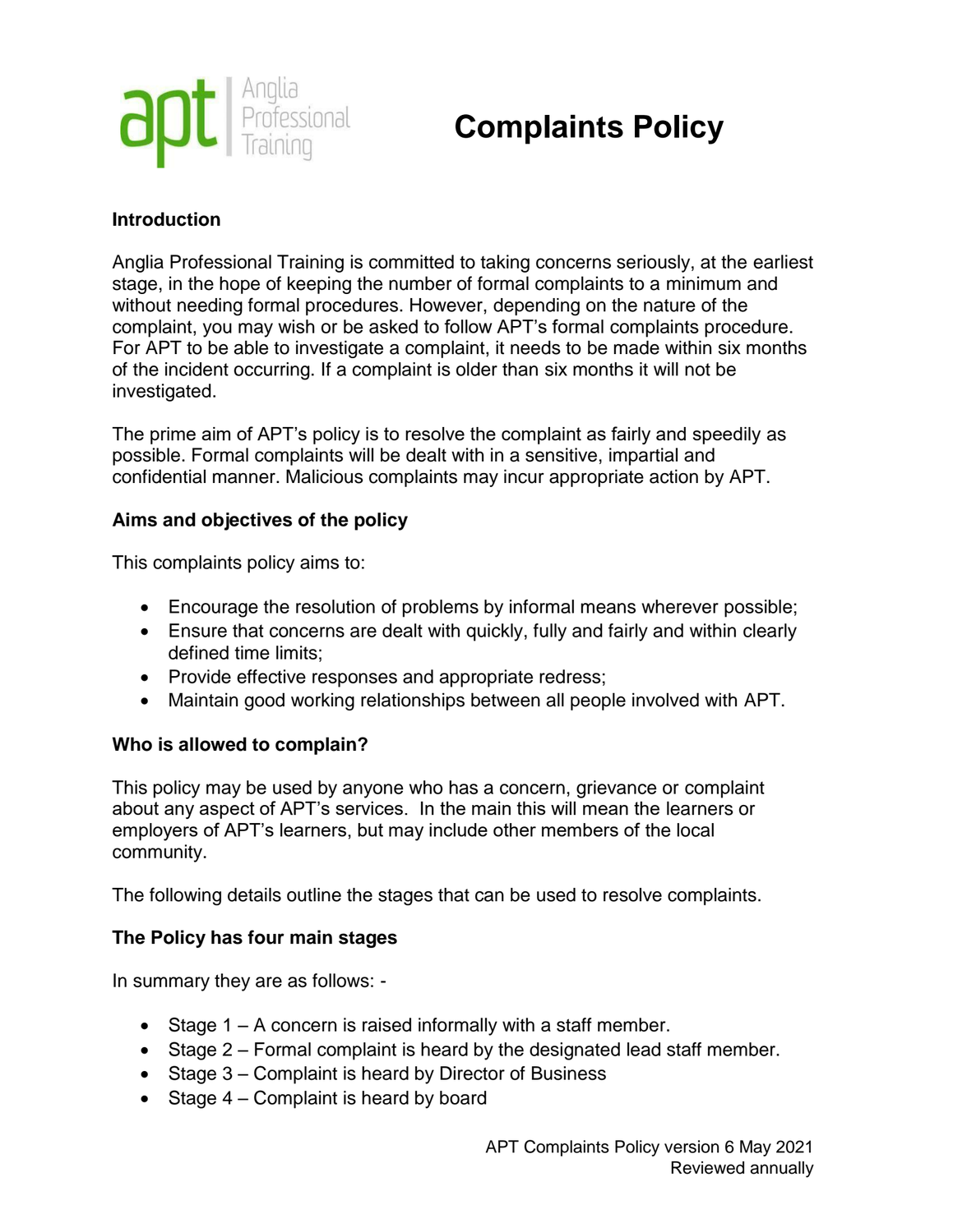

# **Complaints Policy**

## **Introduction**

Anglia Professional Training is committed to taking concerns seriously, at the earliest stage, in the hope of keeping the number of formal complaints to a minimum and without needing formal procedures. However, depending on the nature of the complaint, you may wish or be asked to follow APT's formal complaints procedure. For APT to be able to investigate a complaint, it needs to be made within six months of the incident occurring. If a complaint is older than six months it will not be investigated.

The prime aim of APT's policy is to resolve the complaint as fairly and speedily as possible. Formal complaints will be dealt with in a sensitive, impartial and confidential manner. Malicious complaints may incur appropriate action by APT.

## **Aims and objectives of the policy**

This complaints policy aims to:

- Encourage the resolution of problems by informal means wherever possible;
- Ensure that concerns are dealt with quickly, fully and fairly and within clearly defined time limits;
- Provide effective responses and appropriate redress;
- Maintain good working relationships between all people involved with APT.

## **Who is allowed to complain?**

This policy may be used by anyone who has a concern, grievance or complaint about any aspect of APT's services. In the main this will mean the learners or employers of APT's learners, but may include other members of the local community.

The following details outline the stages that can be used to resolve complaints.

## **The Policy has four main stages**

In summary they are as follows: -

- Stage  $1 A$  concern is raised informally with a staff member.
- Stage 2 Formal complaint is heard by the designated lead staff member.
- Stage 3 Complaint is heard by Director of Business
- Stage  $4$  Complaint is heard by board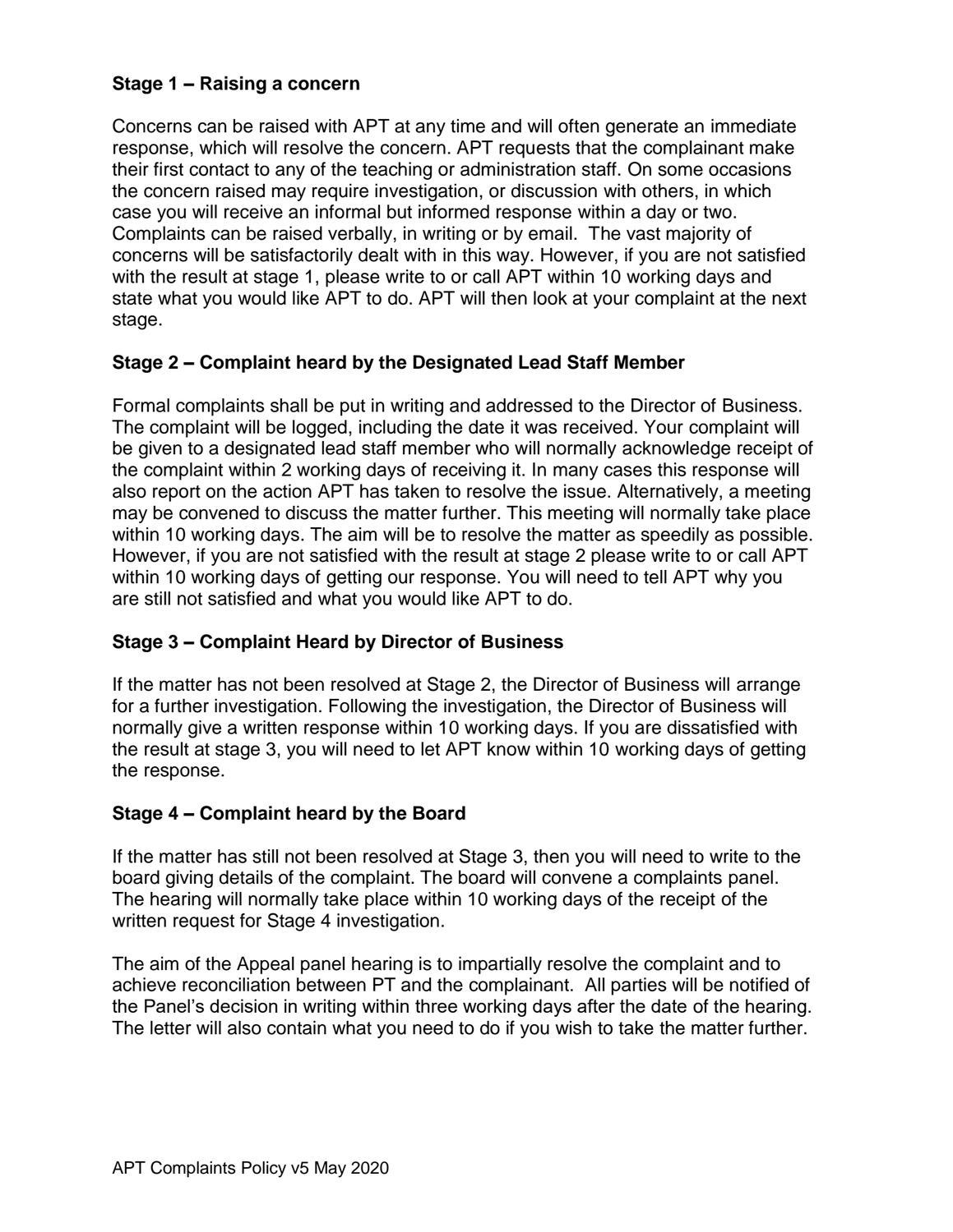# **Stage 1 – Raising a concern**

Concerns can be raised with APT at any time and will often generate an immediate response, which will resolve the concern. APT requests that the complainant make their first contact to any of the teaching or administration staff. On some occasions the concern raised may require investigation, or discussion with others, in which case you will receive an informal but informed response within a day or two. Complaints can be raised verbally, in writing or by email. The vast majority of concerns will be satisfactorily dealt with in this way. However, if you are not satisfied with the result at stage 1, please write to or call APT within 10 working days and state what you would like APT to do. APT will then look at your complaint at the next stage.

#### **Stage 2 – Complaint heard by the Designated Lead Staff Member**

Formal complaints shall be put in writing and addressed to the Director of Business. The complaint will be logged, including the date it was received. Your complaint will be given to a designated lead staff member who will normally acknowledge receipt of the complaint within 2 working days of receiving it. In many cases this response will also report on the action APT has taken to resolve the issue. Alternatively, a meeting may be convened to discuss the matter further. This meeting will normally take place within 10 working days. The aim will be to resolve the matter as speedily as possible. However, if you are not satisfied with the result at stage 2 please write to or call APT within 10 working days of getting our response. You will need to tell APT why you are still not satisfied and what you would like APT to do.

## **Stage 3 – Complaint Heard by Director of Business**

If the matter has not been resolved at Stage 2, the Director of Business will arrange for a further investigation. Following the investigation, the Director of Business will normally give a written response within 10 working days. If you are dissatisfied with the result at stage 3, you will need to let APT know within 10 working days of getting the response.

## **Stage 4 – Complaint heard by the Board**

If the matter has still not been resolved at Stage 3, then you will need to write to the board giving details of the complaint. The board will convene a complaints panel. The hearing will normally take place within 10 working days of the receipt of the written request for Stage 4 investigation.

The aim of the Appeal panel hearing is to impartially resolve the complaint and to achieve reconciliation between PT and the complainant. All parties will be notified of the Panel's decision in writing within three working days after the date of the hearing. The letter will also contain what you need to do if you wish to take the matter further.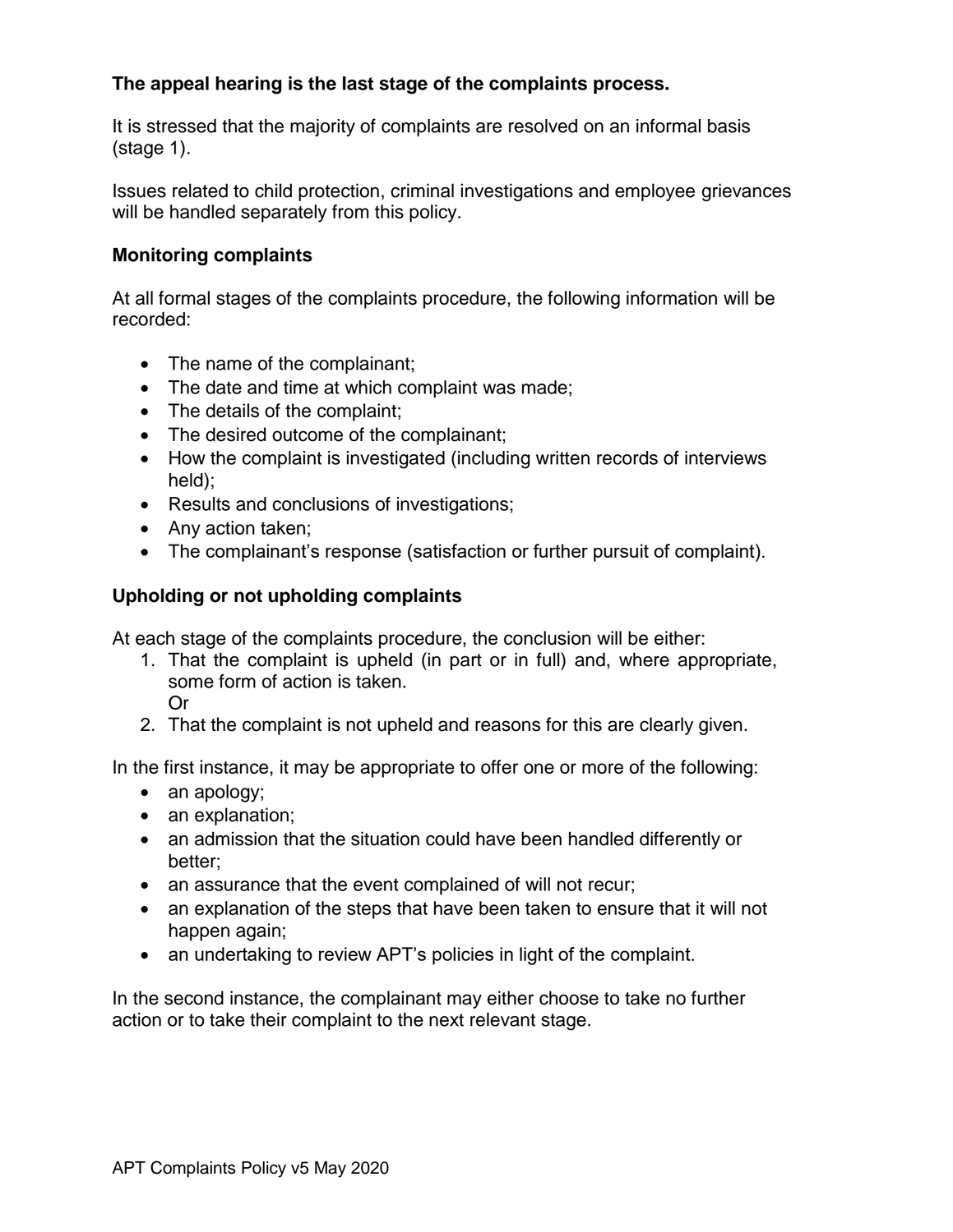# **The appeal hearing is the last stage of the complaints process.**

It is stressed that the majority of complaints are resolved on an informal basis (stage 1).

Issues related to child protection, criminal investigations and employee grievances will be handled separately from this policy.

#### **Monitoring complaints**

At all formal stages of the complaints procedure, the following information will be recorded:

- The name of the complainant;
- The date and time at which complaint was made;
- The details of the complaint;
- The desired outcome of the complainant;
- How the complaint is investigated (including written records of interviews held);
- Results and conclusions of investigations;
- Any action taken;
- The complainant's response (satisfaction or further pursuit of complaint).

#### **Upholding or not upholding complaints**

At each stage of the complaints procedure, the conclusion will be either:

- 1. That the complaint is upheld (in part or in full) and, where appropriate, some form of action is taken. Or
- 2. That the complaint is not upheld and reasons for this are clearly given.

In the first instance, it may be appropriate to offer one or more of the following:

- an apology;
- an explanation;
- an admission that the situation could have been handled differently or better;
- an assurance that the event complained of will not recur;
- an explanation of the steps that have been taken to ensure that it will not happen again;
- an undertaking to review APT's policies in light of the complaint.

In the second instance, the complainant may either choose to take no further action or to take their complaint to the next relevant stage.